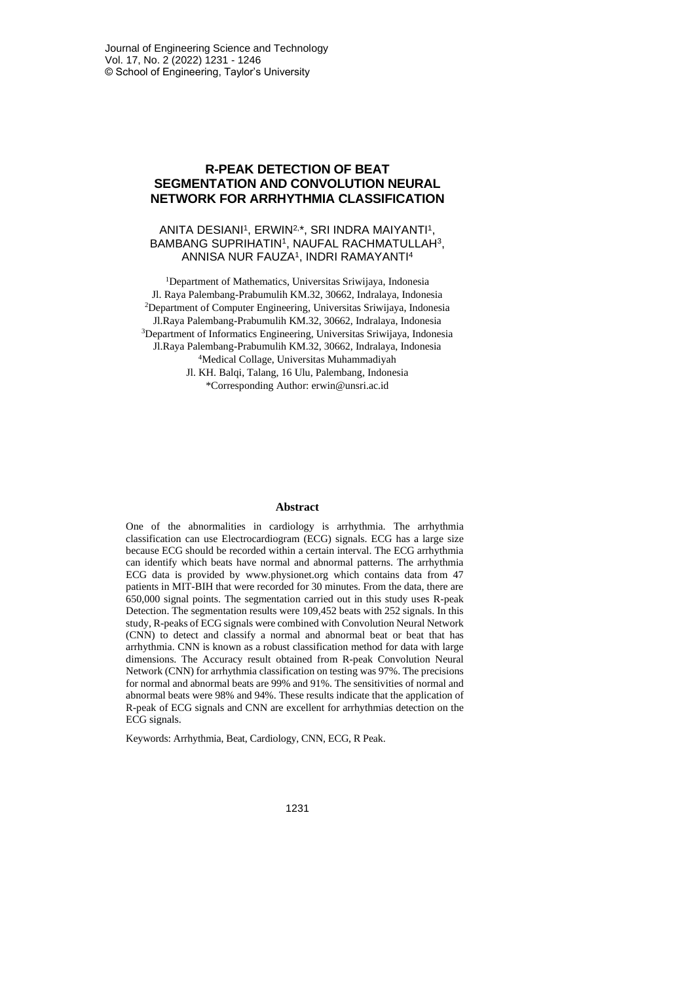## **R-PEAK DETECTION OF BEAT SEGMENTATION AND CONVOLUTION NEURAL NETWORK FOR ARRHYTHMIA CLASSIFICATION**

### ANITA DESIANI<sup>1</sup>, ERWIN<sup>2,\*</sup>, SRI INDRA MAIYANTI<sup>1</sup>, BAMBANG SUPRIHATIN', NAUFAL RACHMATULLAH3, ANNISA NUR FAUZA<sup>1</sup> , INDRI RAMAYANTI<sup>4</sup>

<sup>1</sup>Department of Mathematics, Universitas Sriwijaya, Indonesia Jl. Raya Palembang-Prabumulih KM.32, 30662, Indralaya, Indonesia <sup>2</sup>Department of Computer Engineering, Universitas Sriwijaya, Indonesia Jl.Raya Palembang-Prabumulih KM.32, 30662, Indralaya, Indonesia <sup>3</sup>Department of Informatics Engineering, Universitas Sriwijaya, Indonesia Jl.Raya Palembang-Prabumulih KM.32, 30662, Indralaya, Indonesia <sup>4</sup>Medical Collage, Universitas Muhammadiyah Jl. KH. Balqi, Talang, 16 Ulu, Palembang, Indonesia \*Corresponding Author: erwin@unsri.ac.id

#### **Abstract**

One of the abnormalities in cardiology is arrhythmia. The arrhythmia classification can use Electrocardiogram (ECG) signals. ECG has a large size because ECG should be recorded within a certain interval. The ECG arrhythmia can identify which beats have normal and abnormal patterns. The arrhythmia ECG data is provided by www.physionet.org which contains data from 47 patients in MIT-BIH that were recorded for 30 minutes. From the data, there are 650,000 signal points. The segmentation carried out in this study uses R-peak Detection. The segmentation results were 109,452 beats with 252 signals. In this study, R-peaks of ECG signals were combined with Convolution Neural Network (CNN) to detect and classify a normal and abnormal beat or beat that has arrhythmia. CNN is known as a robust classification method for data with large dimensions. The Accuracy result obtained from R-peak Convolution Neural Network (CNN) for arrhythmia classification on testing was 97%. The precisions for normal and abnormal beats are 99% and 91%. The sensitivities of normal and abnormal beats were 98% and 94%. These results indicate that the application of R-peak of ECG signals and CNN are excellent for arrhythmias detection on the ECG signals.

Keywords: Arrhythmia, Beat, Cardiology, CNN, ECG, R Peak.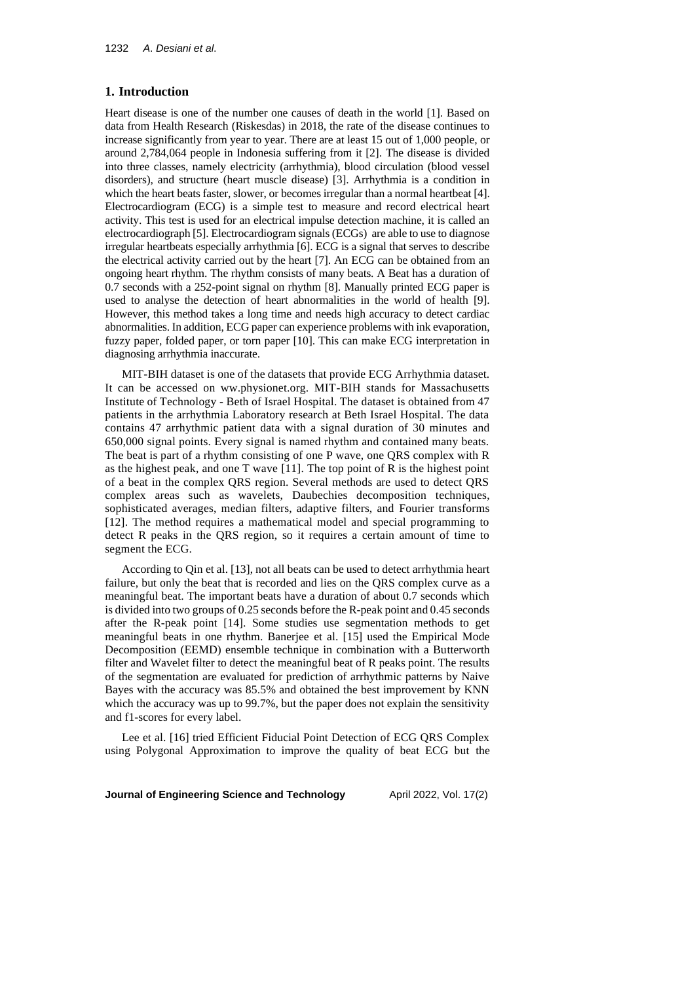#### **1. Introduction**

Heart disease is one of the number one causes of death in the world [1]. Based on data from Health Research (Riskesdas) in 2018, the rate of the disease continues to increase significantly from year to year. There are at least 15 out of 1,000 people, or around 2,784,064 people in Indonesia suffering from it [2]. The disease is divided into three classes, namely electricity (arrhythmia), blood circulation (blood vessel disorders), and structure (heart muscle disease) [3]. Arrhythmia is a condition in which the heart beats faster, slower, or becomes irregular than a normal heartbeat [4]. Electrocardiogram (ECG) is a simple test to measure and record electrical heart activity. This test is used for an electrical impulse detection machine, it is called an electrocardiograph [5]. Electrocardiogram signals (ECGs) are able to use to diagnose irregular heartbeats especially arrhythmia [6]. ECG is a signal that serves to describe the electrical activity carried out by the heart [7]. An ECG can be obtained from an ongoing heart rhythm. The rhythm consists of many beats. A Beat has a duration of 0.7 seconds with a 252-point signal on rhythm [8]. Manually printed ECG paper is used to analyse the detection of heart abnormalities in the world of health [9]. However, this method takes a long time and needs high accuracy to detect cardiac abnormalities. In addition, ECG paper can experience problems with ink evaporation, fuzzy paper, folded paper, or torn paper [10]. This can make ECG interpretation in diagnosing arrhythmia inaccurate.

MIT-BIH dataset is one of the datasets that provide ECG Arrhythmia dataset. It can be accessed on ww.physionet.org. MIT-BIH stands for Massachusetts Institute of Technology - Beth of Israel Hospital. The dataset is obtained from 47 patients in the arrhythmia Laboratory research at Beth Israel Hospital. The data contains 47 arrhythmic patient data with a signal duration of 30 minutes and 650,000 signal points. Every signal is named rhythm and contained many beats. The beat is part of a rhythm consisting of one P wave, one QRS complex with R as the highest peak, and one T wave [11]. The top point of R is the highest point of a beat in the complex QRS region. Several methods are used to detect QRS complex areas such as wavelets, Daubechies decomposition techniques, sophisticated averages, median filters, adaptive filters, and Fourier transforms [12]. The method requires a mathematical model and special programming to detect R peaks in the QRS region, so it requires a certain amount of time to segment the ECG.

According to Qin et al. [13], not all beats can be used to detect arrhythmia heart failure, but only the beat that is recorded and lies on the QRS complex curve as a meaningful beat. The important beats have a duration of about 0.7 seconds which is divided into two groups of 0.25 seconds before the R-peak point and 0.45 seconds after the R-peak point [14]. Some studies use segmentation methods to get meaningful beats in one rhythm. Banerjee et al. [15] used the Empirical Mode Decomposition (EEMD) ensemble technique in combination with a Butterworth filter and Wavelet filter to detect the meaningful beat of R peaks point. The results of the segmentation are evaluated for prediction of arrhythmic patterns by Naive Bayes with the accuracy was 85.5% and obtained the best improvement by KNN which the accuracy was up to 99.7%, but the paper does not explain the sensitivity and f1-scores for every label.

Lee et al. [16] tried Efficient Fiducial Point Detection of ECG QRS Complex using Polygonal Approximation to improve the quality of beat ECG but the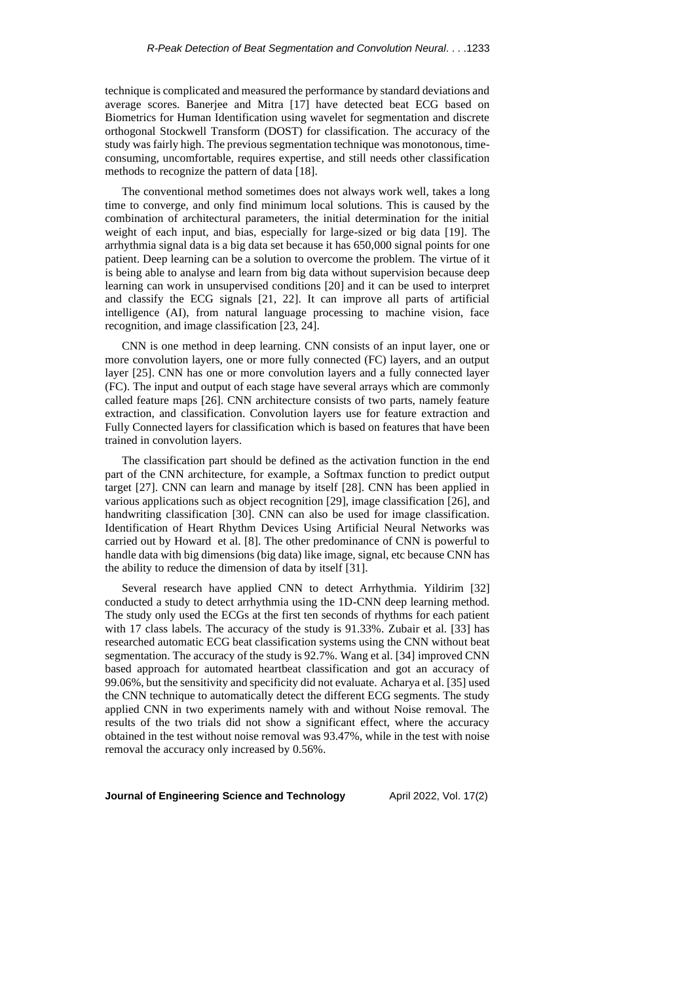technique is complicated and measured the performance by standard deviations and average scores. Banerjee and Mitra [17] have detected beat ECG based on Biometrics for Human Identification using wavelet for segmentation and discrete orthogonal Stockwell Transform (DOST) for classification. The accuracy of the study was fairly high. The previous segmentation technique was monotonous, timeconsuming, uncomfortable, requires expertise, and still needs other classification methods to recognize the pattern of data [18].

The conventional method sometimes does not always work well, takes a long time to converge, and only find minimum local solutions. This is caused by the combination of architectural parameters, the initial determination for the initial weight of each input, and bias, especially for large-sized or big data [19]. The arrhythmia signal data is a big data set because it has 650,000 signal points for one patient. Deep learning can be a solution to overcome the problem. The virtue of it is being able to analyse and learn from big data without supervision because deep learning can work in unsupervised conditions [20] and it can be used to interpret and classify the ECG signals [21, 22]. It can improve all parts of artificial intelligence (AI), from natural language processing to machine vision, face recognition, and image classification [23, 24].

CNN is one method in deep learning. CNN consists of an input layer, one or more convolution layers, one or more fully connected (FC) layers, and an output layer [25]. CNN has one or more convolution layers and a fully connected layer (FC). The input and output of each stage have several arrays which are commonly called feature maps [26]. CNN architecture consists of two parts, namely feature extraction, and classification. Convolution layers use for feature extraction and Fully Connected layers for classification which is based on features that have been trained in convolution layers.

The classification part should be defined as the activation function in the end part of the CNN architecture, for example, a Softmax function to predict output target [27]. CNN can learn and manage by itself [28]. CNN has been applied in various applications such as object recognition [29], image classification [26], and handwriting classification [30]. CNN can also be used for image classification. Identification of Heart Rhythm Devices Using Artificial Neural Networks was carried out by Howard et al. [8]. The other predominance of CNN is powerful to handle data with big dimensions (big data) like image, signal, etc because CNN has the ability to reduce the dimension of data by itself [31].

Several research have applied CNN to detect Arrhythmia. Yildirim [32] conducted a study to detect arrhythmia using the 1D-CNN deep learning method. The study only used the ECGs at the first ten seconds of rhythms for each patient with 17 class labels. The accuracy of the study is 91.33%. Zubair et al. [33] has researched automatic ECG beat classification systems using the CNN without beat segmentation. The accuracy of the study is 92.7%. Wang et al. [34] improved CNN based approach for automated heartbeat classification and got an accuracy of 99.06%, but the sensitivity and specificity did not evaluate. Acharya et al. [35] used the CNN technique to automatically detect the different ECG segments. The study applied CNN in two experiments namely with and without Noise removal. The results of the two trials did not show a significant effect, where the accuracy obtained in the test without noise removal was 93.47%, while in the test with noise removal the accuracy only increased by 0.56%.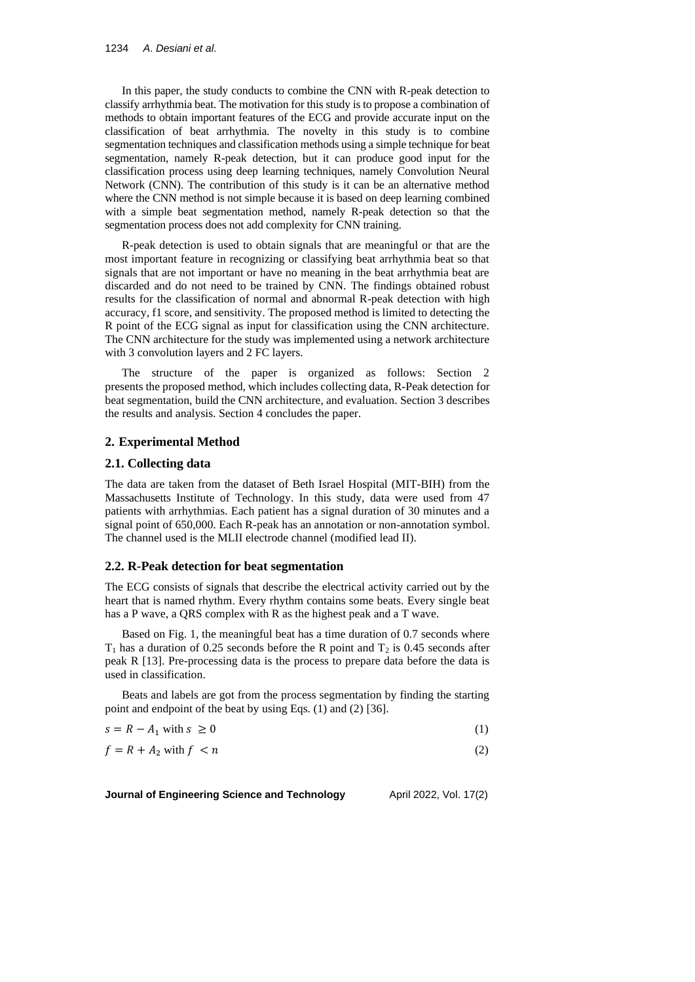In this paper, the study conducts to combine the CNN with R-peak detection to classify arrhythmia beat. The motivation for this study is to propose a combination of methods to obtain important features of the ECG and provide accurate input on the classification of beat arrhythmia. The novelty in this study is to combine segmentation techniques and classification methods using a simple technique for beat segmentation, namely R-peak detection, but it can produce good input for the classification process using deep learning techniques, namely Convolution Neural Network (CNN). The contribution of this study is it can be an alternative method where the CNN method is not simple because it is based on deep learning combined with a simple beat segmentation method, namely R-peak detection so that the segmentation process does not add complexity for CNN training.

R-peak detection is used to obtain signals that are meaningful or that are the most important feature in recognizing or classifying beat arrhythmia beat so that signals that are not important or have no meaning in the beat arrhythmia beat are discarded and do not need to be trained by CNN. The findings obtained robust results for the classification of normal and abnormal R-peak detection with high accuracy, f1 score, and sensitivity. The proposed method is limited to detecting the R point of the ECG signal as input for classification using the CNN architecture. The CNN architecture for the study was implemented using a network architecture with 3 convolution layers and 2 FC layers.

The structure of the paper is organized as follows: Section 2 presents the proposed method, which includes collecting data, R-Peak detection for beat segmentation, build the CNN architecture, and evaluation. Section 3 describes the results and analysis. Section 4 concludes the paper.

## **2. Experimental Method**

#### **2.1. Collecting data**

The data are taken from the dataset of Beth Israel Hospital (MIT-BIH) from the Massachusetts Institute of Technology. In this study, data were used from 47 patients with arrhythmias. Each patient has a signal duration of 30 minutes and a signal point of 650,000. Each R-peak has an annotation or non-annotation symbol. The channel used is the MLII electrode channel (modified lead II).

### **2.2. R-Peak detection for beat segmentation**

The ECG consists of signals that describe the electrical activity carried out by the heart that is named rhythm. Every rhythm contains some beats. Every single beat has a P wave, a QRS complex with R as the highest peak and a T wave.

Based on Fig. 1, the meaningful beat has a time duration of 0.7 seconds where  $T_1$  has a duration of 0.25 seconds before the R point and  $T_2$  is 0.45 seconds after peak R [13]. Pre-processing data is the process to prepare data before the data is used in classification.

Beats and labels are got from the process segmentation by finding the starting point and endpoint of the beat by using Eqs. (1) and (2) [36].

| $s = R - A_1$ with $s \geq 0$ |  |  |
|-------------------------------|--|--|
|-------------------------------|--|--|

 $f = R + A_2$  with  $f < n$  (2)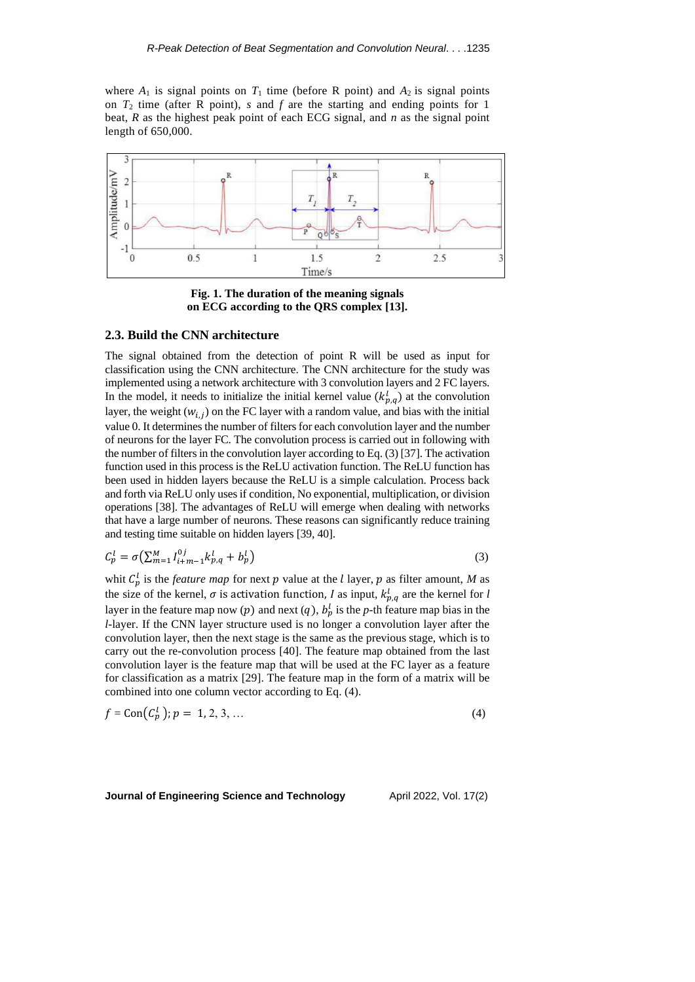where  $A_1$  is signal points on  $T_1$  time (before R point) and  $A_2$  is signal points on *T*<sup>2</sup> time (after R point), *s* and *f* are the starting and ending points for 1 beat, *R* as the highest peak point of each ECG signal, and *n* as the signal point length of 650,000.



**Fig. 1. The duration of the meaning signals on ECG according to the QRS complex [13].**

### **2.3. Build the CNN architecture**

The signal obtained from the detection of point R will be used as input for classification using the CNN architecture. The CNN architecture for the study was implemented using a network architecture with 3 convolution layers and 2 FC layers. In the model, it needs to initialize the initial kernel value  $(k_{p,q}^l)$  at the convolution layer, the weight  $(w_{i,j})$  on the FC layer with a random value, and bias with the initial value 0. It determines the number of filters for each convolution layer and the number of neurons for the layer FC. The convolution process is carried out in following with the number of filters in the convolution layer according to Eq. (3) [37]. The activation function used in this process is the ReLU activation function. The ReLU function has been used in hidden layers because the ReLU is a simple calculation. Process back and forth via ReLU only uses if condition, No exponential, multiplication, or division operations [38]. The advantages of ReLU will emerge when dealing with networks that have a large number of neurons. These reasons can significantly reduce training and testing time suitable on hidden layers [39, 40].

$$
C_p^l = \sigma \left( \sum_{m=1}^M l_{i+m-1}^{0j} k_{p,q}^l + b_p^l \right) \tag{3}
$$

whit  $C_p^l$  is the *feature map* for next p value at the *l* layer, p as filter amount, M as the size of the kernel,  $\sigma$  is activation function, *l* as input,  $k_{p,q}^l$  are the kernel for *l* layer in the feature map now (p) and next (q),  $b_p^l$  is the p-th feature map bias in the *l*-layer. If the CNN layer structure used is no longer a convolution layer after the convolution layer, then the next stage is the same as the previous stage, which is to carry out the re-convolution process [40]. The feature map obtained from the last convolution layer is the feature map that will be used at the FC layer as a feature for classification as a matrix [29]. The feature map in the form of a matrix will be combined into one column vector according to Eq. (4).

$$
f = \text{Con}(C_p^1); p = 1, 2, 3, ... \tag{4}
$$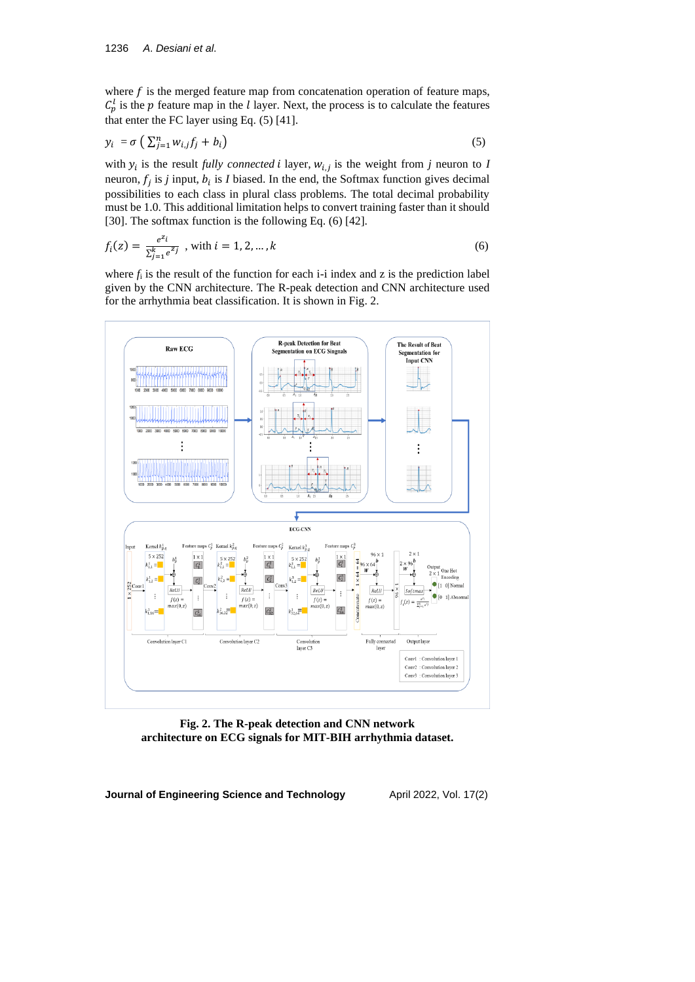where  $f$  is the merged feature map from concatenation operation of feature maps,  $C_p^l$  is the p feature map in the *l* layer. Next, the process is to calculate the features that enter the FC layer using Eq. (5) [41].

$$
y_i = \sigma \left( \sum_{j=1}^n w_{i,j} f_j + b_i \right) \tag{5}
$$

with  $y_i$  is the result *fully connected i* layer,  $w_{i,j}$  is the weight from *j* neuron to *I* neuron,  $f_j$  is *j* input,  $b_i$  is *I* biased. In the end, the Softmax function gives decimal possibilities to each class in plural class problems. The total decimal probability must be 1.0. This additional limitation helps to convert training faster than it should [30]. The softmax function is the following Eq. (6) [42].

$$
f_i(z) = \frac{e^{z_i}}{\sum_{j=1}^k e^{z_j}}, \text{ with } i = 1, 2, ..., k
$$
 (6)

where  $f_i$  is the result of the function for each  $i$ -i index and z is the prediction label given by the CNN architecture. The R-peak detection and CNN architecture used for the arrhythmia beat classification. It is shown in Fig. 2.



**Fig. 2. The R-peak detection and CNN network architecture on ECG signals for MIT-BIH arrhythmia dataset.**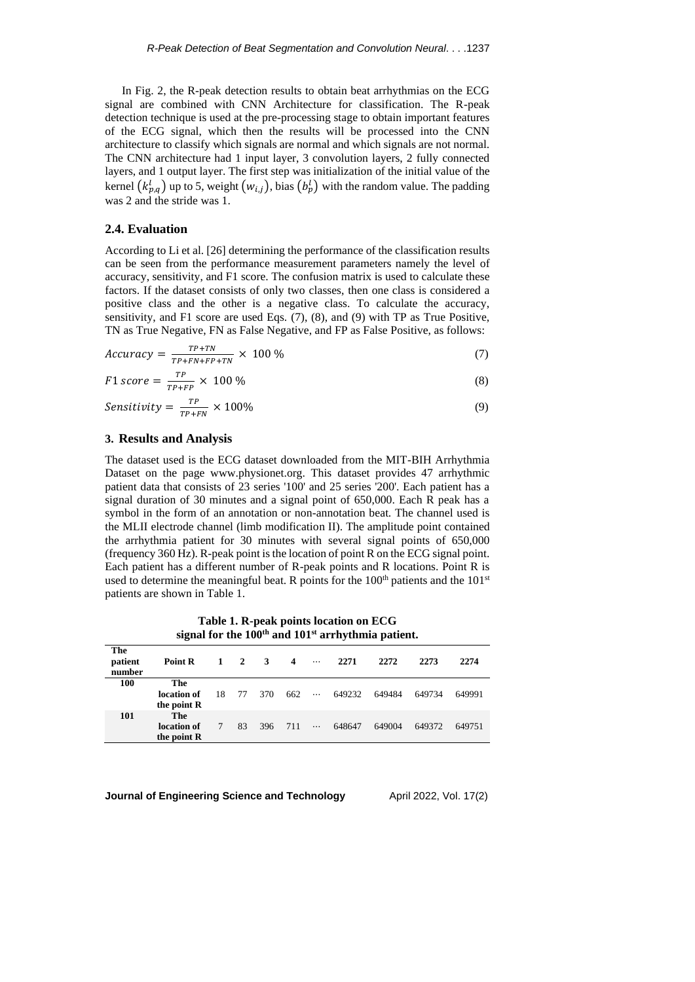In Fig. 2, the R-peak detection results to obtain beat arrhythmias on the ECG signal are combined with CNN Architecture for classification. The R-peak detection technique is used at the pre-processing stage to obtain important features of the ECG signal, which then the results will be processed into the CNN architecture to classify which signals are normal and which signals are not normal. The CNN architecture had 1 input layer, 3 convolution layers, 2 fully connected layers, and 1 output layer. The first step was initialization of the initial value of the kernel  $(k_{p,q}^l)$  up to 5, weight  $(w_{i,j})$ , bias  $(b_p^l)$  with the random value. The padding was 2 and the stride was 1.

#### **2.4. Evaluation**

According to Li et al. [26] determining the performance of the classification results can be seen from the performance measurement parameters namely the level of accuracy, sensitivity, and F1 score. The confusion matrix is used to calculate these factors. If the dataset consists of only two classes, then one class is considered a positive class and the other is a negative class. To calculate the accuracy, sensitivity, and F1 score are used Eqs. (7), (8), and (9) with TP as True Positive, TN as True Negative, FN as False Negative, and FP as False Positive, as follows:

$$
Accuracy = \frac{T^{P+TN}}{T^{P+FN+FP+TN}} \times 100\% \tag{7}
$$

$$
F1 \, score = \frac{TP}{TP+FP} \times 100\,\%
$$
\n
$$
\tag{8}
$$

$$
Sensitivity = \frac{TP}{TP+FN} \times 100\% \tag{9}
$$

### **3. Results and Analysis**

**The** 

The dataset used is the ECG dataset downloaded from the MIT-BIH Arrhythmia Dataset on the page www.physionet.org. This dataset provides 47 arrhythmic patient data that consists of 23 series '100' and 25 series '200'. Each patient has a signal duration of 30 minutes and a signal point of 650,000. Each R peak has a symbol in the form of an annotation or non-annotation beat. The channel used is the MLII electrode channel (limb modification II). The amplitude point contained the arrhythmia patient for 30 minutes with several signal points of 650,000 (frequency 360 Hz). R-peak point is the location of point R on the ECG signal point. Each patient has a different number of R-peak points and R locations. Point R is used to determine the meaningful beat. R points for the 100<sup>th</sup> patients and the 101<sup>st</sup> patients are shown in Table 1.

**Table 1. R-peak points location on ECG signal for the 100th and 101st arrhythmia patient.**

| patient<br>number | Point R                           |     | $1 \quad 2$ | 3   | $\boldsymbol{4}$ | $\cdots$ | 2271   | 2272   | 2273   | 2274   |
|-------------------|-----------------------------------|-----|-------------|-----|------------------|----------|--------|--------|--------|--------|
| 100               | The<br>location of<br>the point R | 18. | 77          | 370 | 662              | $\cdots$ | 649232 | 649484 | 649734 | 649991 |
| 101               | The<br>location of<br>the point R |     | 83          | 396 | 711              | $\ldots$ | 648647 | 649004 | 649372 | 649751 |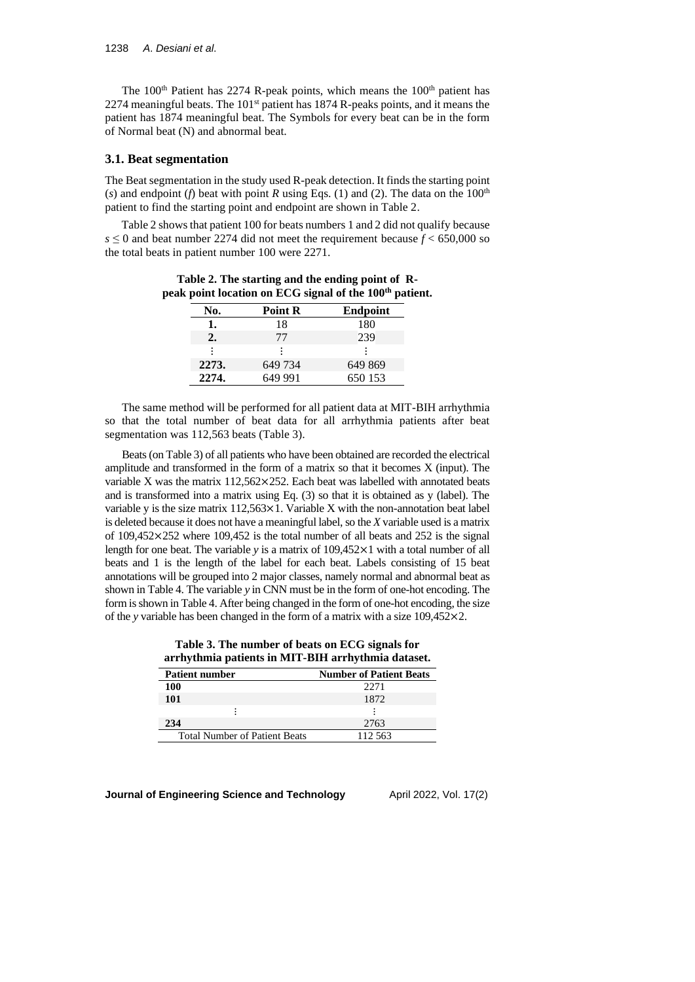The  $100<sup>th</sup>$  Patient has 2274 R-peak points, which means the  $100<sup>th</sup>$  patient has 2274 meaningful beats. The 101<sup>st</sup> patient has 1874 R-peaks points, and it means the patient has 1874 meaningful beat. The Symbols for every beat can be in the form of Normal beat (N) and abnormal beat.

#### **3.1. Beat segmentation**

The Beat segmentation in the study used R-peak detection. It finds the starting point (*s*) and endpoint (*f*) beat with point *R* using Eqs. (1) and (2). The data on the  $100<sup>th</sup>$ patient to find the starting point and endpoint are shown in Table 2.

Table 2 shows that patient 100 for beats numbers 1 and 2 did not qualify because  $s \le 0$  and beat number 2274 did not meet the requirement because  $f \le 650,000$  so the total beats in patient number 100 were 2271.

**Table 2. The starting and the ending point of Rpeak point location on ECG signal of the 100th patient.**

| No.   | <b>Point R</b> | <b>Endpoint</b> |
|-------|----------------|-----------------|
| ı.    | 18             | 180             |
| 2.    | 77             | 239             |
| ፡     |                |                 |
| 2273. | 649 734        | 649 869         |
| 2274. | 649 991        | 650 153         |

The same method will be performed for all patient data at MIT-BIH arrhythmia so that the total number of beat data for all arrhythmia patients after beat segmentation was 112,563 beats (Table 3).

Beats (on Table 3) of all patients who have been obtained are recorded the electrical amplitude and transformed in the form of a matrix so that it becomes X (input). The variable X was the matrix 112,562×252. Each beat was labelled with annotated beats and is transformed into a matrix using Eq. (3) so that it is obtained as y (label). The variable y is the size matrix 112,563×1. Variable X with the non-annotation beat label is deleted because it does not have a meaningful label, so the *X* variable used is a matrix of  $109,452\times252$  where  $109,452$  is the total number of all beats and  $252$  is the signal length for one beat. The variable *y* is a matrix of 109,452×1 with a total number of all beats and 1 is the length of the label for each beat. Labels consisting of 15 beat annotations will be grouped into 2 major classes, namely normal and abnormal beat as shown in Table 4. The variable *y* in CNN must be in the form of one-hot encoding. The form is shown in Table 4. After being changed in the form of one-hot encoding, the size of the *y* variable has been changed in the form of a matrix with a size 109,452×2.

| Table 3. The number of beats on ECG signals for    |  |
|----------------------------------------------------|--|
| arrhythmia patients in MIT-BIH arrhythmia dataset. |  |

| <b>Patient number</b>                | <b>Number of Patient Beats</b> |
|--------------------------------------|--------------------------------|
| 100                                  | 22.71                          |
| 101                                  | 1872                           |
|                                      |                                |
| 234                                  | 2763                           |
| <b>Total Number of Patient Beats</b> | 112.563                        |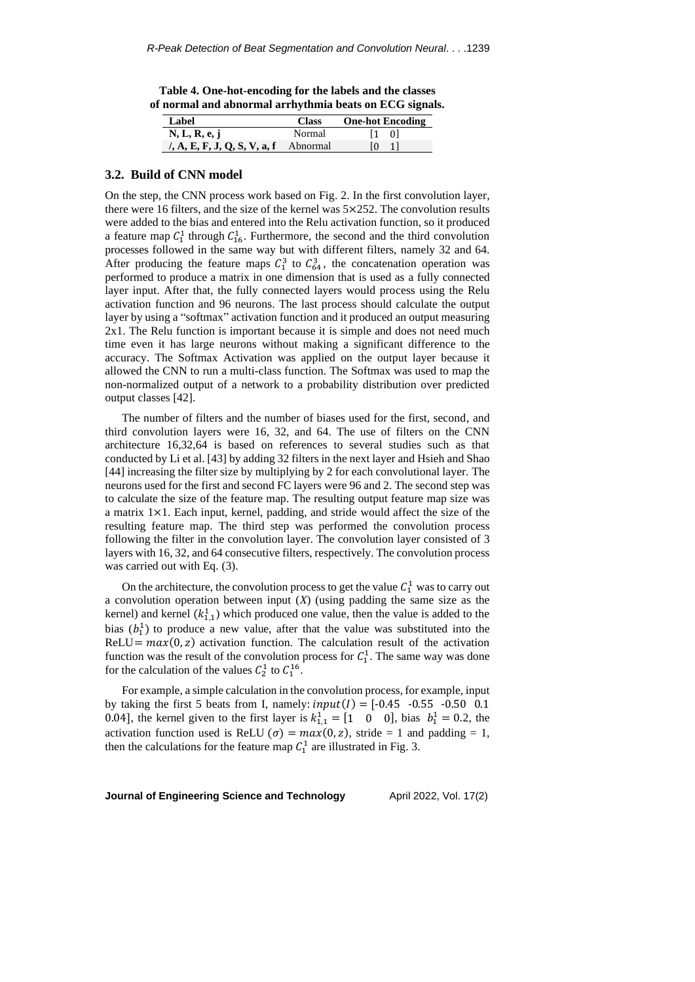**Table 4. One-hot-encoding for the labels and the classes of normal and abnormal arrhythmia beats on ECG signals.**

| Label                                          | <b>Class</b> | <b>One-hot Encoding</b> |
|------------------------------------------------|--------------|-------------------------|
| N, L, R, e, j                                  | Normal       | 11 OI                   |
| $\lambda$ , A, E, F, J, Q, S, V, a, f Abnormal |              |                         |

#### **3.2. Build of CNN model**

On the step, the CNN process work based on Fig. 2. In the first convolution layer, there were 16 filters, and the size of the kernel was 5×252. The convolution results were added to the bias and entered into the Relu activation function, so it produced a feature map  $C_1^1$  through  $C_{16}^1$ . Furthermore, the second and the third convolution processes followed in the same way but with different filters, namely 32 and 64. After producing the feature maps  $C_1^3$  to  $C_{64}^3$ , the concatenation operation was performed to produce a matrix in one dimension that is used as a fully connected layer input. After that, the fully connected layers would process using the Relu activation function and 96 neurons. The last process should calculate the output layer by using a "softmax" activation function and it produced an output measuring 2x1. The Relu function is important because it is simple and does not need much time even it has large neurons without making a significant difference to the accuracy. The Softmax Activation was applied on the output layer because it allowed the CNN to run a multi-class function. The Softmax was used to map the non-normalized output of a network to a probability distribution over predicted output classes [42].

The number of filters and the number of biases used for the first, second, and third convolution layers were 16, 32, and 64. The use of filters on the CNN architecture 16,32,64 is based on references to several studies such as that conducted by Li et al. [43] by adding 32 filters in the next layer and Hsieh and Shao [44] increasing the filter size by multiplying by 2 for each convolutional layer. The neurons used for the first and second FC layers were 96 and 2. The second step was to calculate the size of the feature map. The resulting output feature map size was a matrix 1×1. Each input, kernel, padding, and stride would affect the size of the resulting feature map. The third step was performed the convolution process following the filter in the convolution layer. The convolution layer consisted of 3 layers with 16, 32, and 64 consecutive filters, respectively. The convolution process was carried out with Eq. (3).

On the architecture, the convolution process to get the value  $C_1^1$  was to carry out a convolution operation between input (*X*) (using padding the same size as the kernel) and kernel  $(k_{1,1}^1)$  which produced one value, then the value is added to the bias  $(b_1^1)$  to produce a new value, after that the value was substituted into the ReLU =  $max(0, z)$  activation function. The calculation result of the activation function was the result of the convolution process for  $C_1^1$ . The same way was done for the calculation of the values  $C_2^1$  to  $C_1^{16}$ .

For example, a simple calculation in the convolution process, for example, input by taking the first 5 beats from I, namely:  $input(I) = [-0.45 \cdot -0.55 \cdot -0.50 \cdot 0.1$ 0.04], the kernel given to the first layer is  $k_{1,1}^1 = [1 \ 0 \ 0]$ , bias  $b_1^1 = 0.2$ , the activation function used is ReLU ( $\sigma$ ) =  $max(0, z)$ , stride = 1 and padding = 1, then the calculations for the feature map  $C_1^1$  are illustrated in Fig. 3.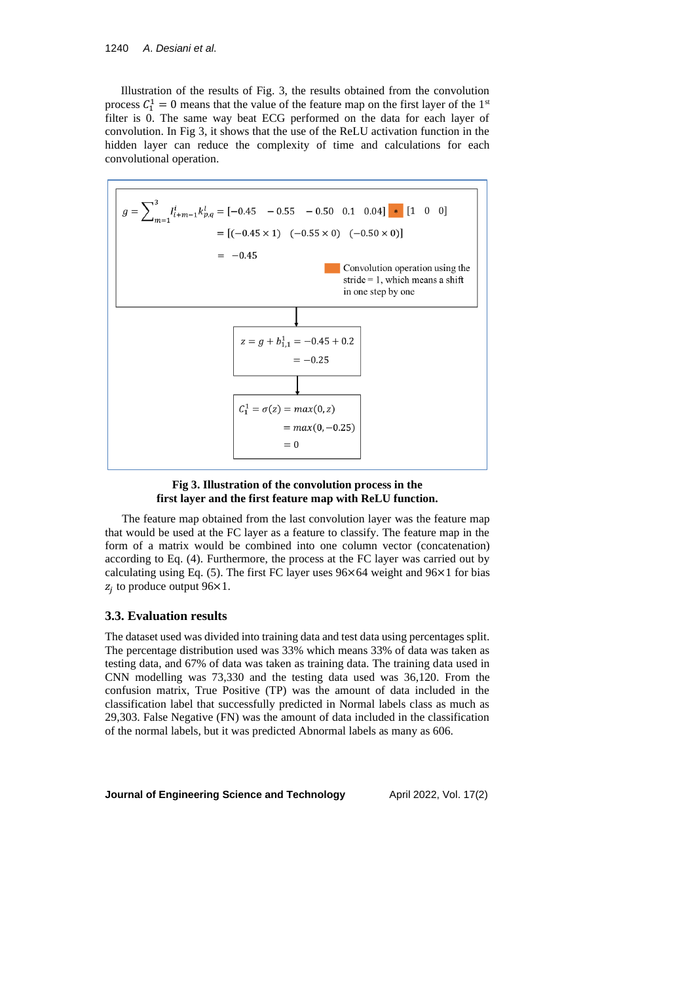Illustration of the results of Fig. 3, the results obtained from the convolution process  $C_1^1 = 0$  means that the value of the feature map on the first layer of the 1<sup>st</sup> filter is 0. The same way beat ECG performed on the data for each layer of convolution. In Fig 3, it shows that the use of the ReLU activation function in the hidden layer can reduce the complexity of time and calculations for each convolutional operation.



### **Fig 3. Illustration of the convolution process in the first layer and the first feature map with ReLU function.**

The feature map obtained from the last convolution layer was the feature map that would be used at the FC layer as a feature to classify. The feature map in the form of a matrix would be combined into one column vector (concatenation) according to Eq. (4). Furthermore, the process at the FC layer was carried out by calculating using Eq. (5). The first FC layer uses 96×64 weight and 96×1 for bias  $z_j$  to produce output 96×1.

# **3.3. Evaluation results**

The dataset used was divided into training data and test data using percentages split. The percentage distribution used was 33% which means 33% of data was taken as testing data, and 67% of data was taken as training data. The training data used in CNN modelling was 73,330 and the testing data used was 36,120. From the confusion matrix, True Positive (TP) was the amount of data included in the classification label that successfully predicted in Normal labels class as much as 29,303. False Negative (FN) was the amount of data included in the classification of the normal labels, but it was predicted Abnormal labels as many as 606.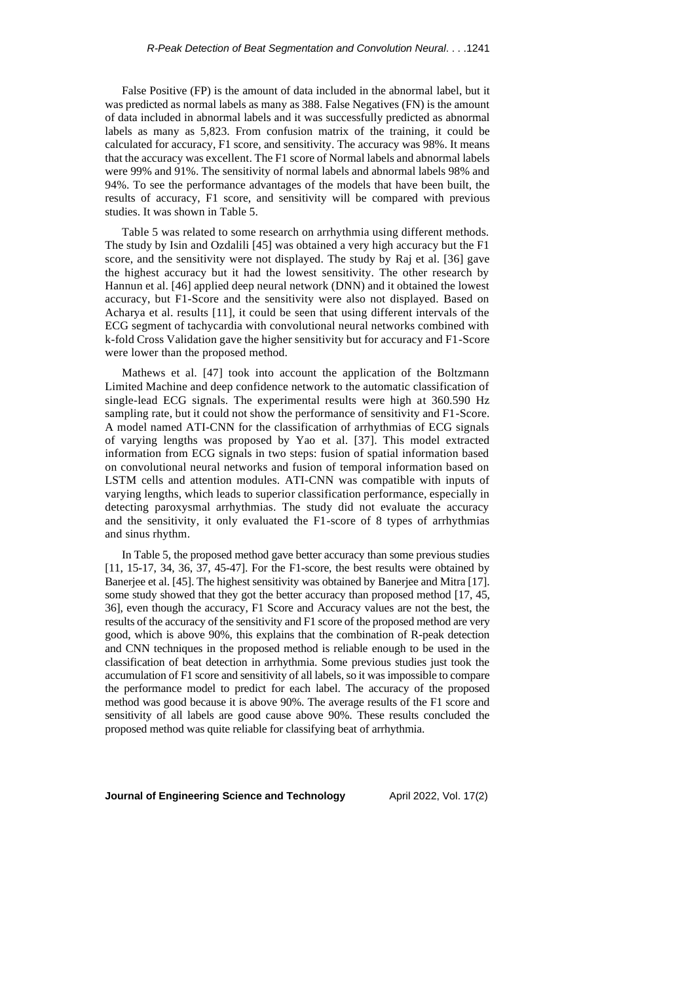False Positive (FP) is the amount of data included in the abnormal label, but it was predicted as normal labels as many as 388. False Negatives (FN) is the amount of data included in abnormal labels and it was successfully predicted as abnormal labels as many as 5,823. From confusion matrix of the training, it could be calculated for accuracy, F1 score, and sensitivity. The accuracy was 98%. It means that the accuracy was excellent. The F1 score of Normal labels and abnormal labels were 99% and 91%. The sensitivity of normal labels and abnormal labels 98% and 94%. To see the performance advantages of the models that have been built, the results of accuracy, F1 score, and sensitivity will be compared with previous studies. It was shown in Table 5.

Table 5 was related to some research on arrhythmia using different methods. The study by Isin and Ozdalili [45] was obtained a very high accuracy but the F1 score, and the sensitivity were not displayed. The study by Raj et al. [36] gave the highest accuracy but it had the lowest sensitivity. The other research by Hannun et al. [46] applied deep neural network (DNN) and it obtained the lowest accuracy, but F1-Score and the sensitivity were also not displayed. Based on Acharya et al. results [11], it could be seen that using different intervals of the ECG segment of tachycardia with convolutional neural networks combined with k-fold Cross Validation gave the higher sensitivity but for accuracy and F1-Score were lower than the proposed method.

Mathews et al. [47] took into account the application of the Boltzmann Limited Machine and deep confidence network to the automatic classification of single-lead ECG signals. The experimental results were high at 360.590 Hz sampling rate, but it could not show the performance of sensitivity and F1-Score. A model named ATI-CNN for the classification of arrhythmias of ECG signals of varying lengths was proposed by Yao et al. [37]. This model extracted information from ECG signals in two steps: fusion of spatial information based on convolutional neural networks and fusion of temporal information based on LSTM cells and attention modules. ATI-CNN was compatible with inputs of varying lengths, which leads to superior classification performance, especially in detecting paroxysmal arrhythmias. The study did not evaluate the accuracy and the sensitivity, it only evaluated the F1-score of 8 types of arrhythmias and sinus rhythm.

In Table 5, the proposed method gave better accuracy than some previous studies [11, 15-17, 34, 36, 37, 45-47]. For the F1-score, the best results were obtained by Banerjee et al. [45]. The highest sensitivity was obtained by Banerjee and Mitra [17]. some study showed that they got the better accuracy than proposed method [17, 45, 36], even though the accuracy, F1 Score and Accuracy values are not the best, the results of the accuracy of the sensitivity and F1 score of the proposed method are very good, which is above 90%, this explains that the combination of R-peak detection and CNN techniques in the proposed method is reliable enough to be used in the classification of beat detection in arrhythmia. Some previous studies just took the accumulation of F1 score and sensitivity of all labels, so it was impossible to compare the performance model to predict for each label. The accuracy of the proposed method was good because it is above 90%. The average results of the F1 score and sensitivity of all labels are good cause above 90%. These results concluded the proposed method was quite reliable for classifying beat of arrhythmia.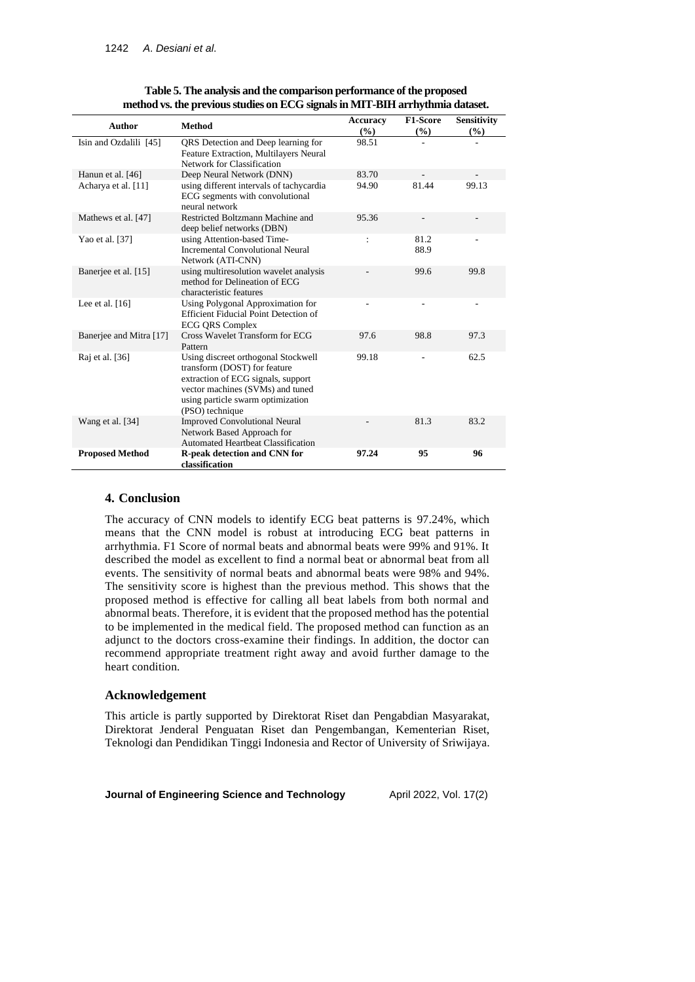| Author                  | <b>Method</b>                                                                                                                                                                                         | <b>Accuracy</b><br>(%) | F1-Score<br>(%) | <b>Sensitivity</b><br>(%) |
|-------------------------|-------------------------------------------------------------------------------------------------------------------------------------------------------------------------------------------------------|------------------------|-----------------|---------------------------|
| Isin and Ozdalili [45]  | QRS Detection and Deep learning for<br>Feature Extraction, Multilayers Neural<br>Network for Classification                                                                                           | 98.51                  |                 |                           |
| Hanun et al. [46]       | Deep Neural Network (DNN)                                                                                                                                                                             | 83.70                  |                 |                           |
| Acharya et al. [11]     | using different intervals of tachycardia<br>ECG segments with convolutional<br>neural network                                                                                                         | 94.90                  | 81.44           | 99.13                     |
| Mathews et al. [47]     | Restricted Boltzmann Machine and<br>deep belief networks (DBN)                                                                                                                                        | 95.36                  |                 |                           |
| Yao et al. [37]         | using Attention-based Time-<br><b>Incremental Convolutional Neural</b><br>Network (ATI-CNN)                                                                                                           | $\ddot{\cdot}$         | 81.2<br>88.9    |                           |
| Banerjee et al. [15]    | using multiresolution wavelet analysis<br>method for Delineation of ECG<br>characteristic features                                                                                                    |                        | 99.6            | 99.8                      |
| Lee et al. $[16]$       | Using Polygonal Approximation for<br><b>Efficient Fiducial Point Detection of</b><br><b>ECG QRS Complex</b>                                                                                           |                        |                 |                           |
| Banerjee and Mitra [17] | Cross Wavelet Transform for ECG<br>Pattern                                                                                                                                                            | 97.6                   | 98.8            | 97.3                      |
| Raj et al. [36]         | Using discreet orthogonal Stockwell<br>transform (DOST) for feature<br>extraction of ECG signals, support<br>vector machines (SVMs) and tuned<br>using particle swarm optimization<br>(PSO) technique | 99.18                  |                 | 62.5                      |
| Wang et al. [34]        | <b>Improved Convolutional Neural</b><br>Network Based Approach for<br>Automated Heartheat Classification                                                                                              |                        | 81.3            | 83.2                      |
| <b>Proposed Method</b>  | R-peak detection and CNN for<br>classification                                                                                                                                                        | 97.24                  | 95              | 96                        |

| Table 5. The analysis and the comparison performance of the proposed          |  |
|-------------------------------------------------------------------------------|--|
| method vs. the previous studies on ECG signals in MIT-BIH arrhythmia dataset. |  |

# **4. Conclusion**

The accuracy of CNN models to identify ECG beat patterns is 97.24%, which means that the CNN model is robust at introducing ECG beat patterns in arrhythmia. F1 Score of normal beats and abnormal beats were 99% and 91%. It described the model as excellent to find a normal beat or abnormal beat from all events. The sensitivity of normal beats and abnormal beats were 98% and 94%. The sensitivity score is highest than the previous method. This shows that the proposed method is effective for calling all beat labels from both normal and abnormal beats. Therefore, it is evident that the proposed method has the potential to be implemented in the medical field. The proposed method can function as an adjunct to the doctors cross-examine their findings. In addition, the doctor can recommend appropriate treatment right away and avoid further damage to the heart condition.

#### **Acknowledgement**

This article is partly supported by Direktorat Riset dan Pengabdian Masyarakat, Direktorat Jenderal Penguatan Riset dan Pengembangan, Kementerian Riset, Teknologi dan Pendidikan Tinggi Indonesia and Rector of University of Sriwijaya.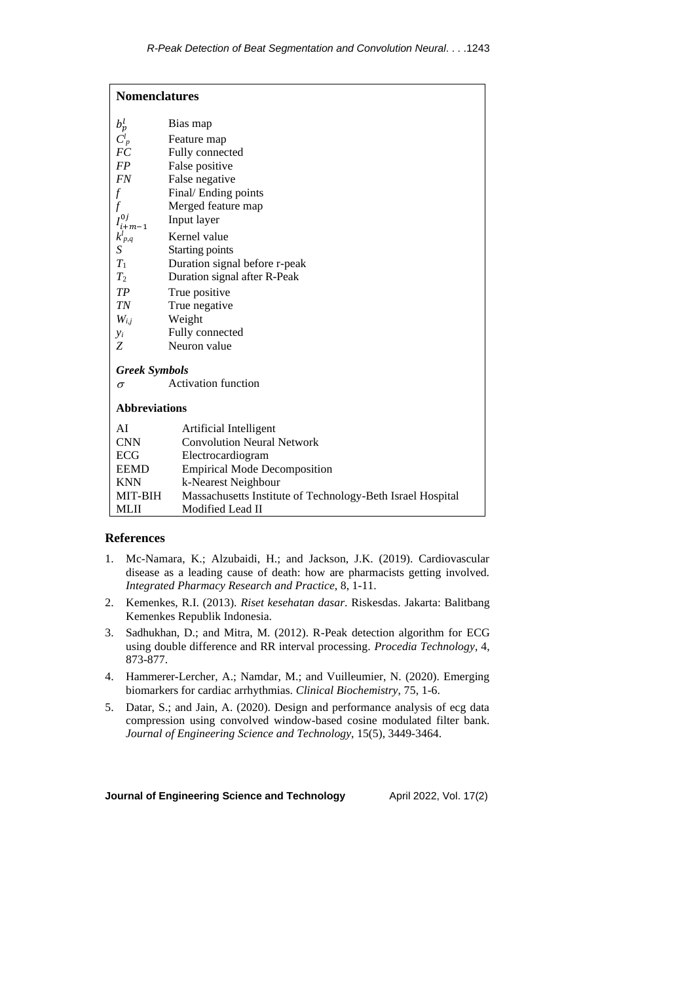| <b>Nomenclatures</b>     |                                                            |  |  |  |  |  |
|--------------------------|------------------------------------------------------------|--|--|--|--|--|
| $b_p^l$<br>Bias map      |                                                            |  |  |  |  |  |
| $C_p^l$<br>Feature map   |                                                            |  |  |  |  |  |
| F <sub>C</sub>           | Fully connected                                            |  |  |  |  |  |
| <b>FP</b>                | False positive                                             |  |  |  |  |  |
| <b>FN</b>                | False negative                                             |  |  |  |  |  |
| $\overline{f}$           | Final/Ending points                                        |  |  |  |  |  |
| f                        | Merged feature map                                         |  |  |  |  |  |
| $I^{0j}_{i+m-1}$         | Input layer                                                |  |  |  |  |  |
| $k_{p,q}^l$              | Kernel value                                               |  |  |  |  |  |
| S                        | Starting points                                            |  |  |  |  |  |
| $T_1$                    | Duration signal before r-peak                              |  |  |  |  |  |
| $T_2$                    | Duration signal after R-Peak                               |  |  |  |  |  |
| TP                       | True positive                                              |  |  |  |  |  |
| <b>TN</b>                | True negative                                              |  |  |  |  |  |
| $W_{i,j}$                | Weight                                                     |  |  |  |  |  |
| $y_i$                    | Fully connected                                            |  |  |  |  |  |
| Ζ                        | Neuron value                                               |  |  |  |  |  |
| <b>Greek Symbols</b>     |                                                            |  |  |  |  |  |
| Activation function<br>σ |                                                            |  |  |  |  |  |
| <b>Abbreviations</b>     |                                                            |  |  |  |  |  |
| AI                       | Artificial Intelligent                                     |  |  |  |  |  |
| <b>CNN</b>               | <b>Convolution Neural Network</b>                          |  |  |  |  |  |
| ECG                      | Electrocardiogram                                          |  |  |  |  |  |
| <b>EEMD</b>              | <b>Empirical Mode Decomposition</b>                        |  |  |  |  |  |
| <b>KNN</b>               | k-Nearest Neighbour                                        |  |  |  |  |  |
| MIT-BIH                  | Massachusetts Institute of Technology-Beth Israel Hospital |  |  |  |  |  |
| <b>MLII</b>              | Modified Lead II                                           |  |  |  |  |  |

## **References**

- 1. Mc-Namara, K.; Alzubaidi, H.; and Jackson, J.K. (2019). Cardiovascular disease as a leading cause of death: how are pharmacists getting involved. *Integrated Pharmacy Research and Practice*, 8, 1-11.
- 2. Kemenkes, R.I. (2013). *Riset kesehatan dasar*. Riskesdas. Jakarta: Balitbang Kemenkes Republik Indonesia.
- 3. Sadhukhan, D.; and Mitra, M. (2012). R-Peak detection algorithm for ECG using double difference and RR interval processing. *Procedia Technology*, 4, 873-877.
- 4. Hammerer-Lercher, A.; Namdar, M.; and Vuilleumier, N. (2020). Emerging biomarkers for cardiac arrhythmias. *Clinical Biochemistry*, 75, 1-6.
- 5. Datar, S.; and Jain, A. (2020). Design and performance analysis of ecg data compression using convolved window-based cosine modulated filter bank. *Journal of Engineering Science and Technology*, 15(5), 3449-3464.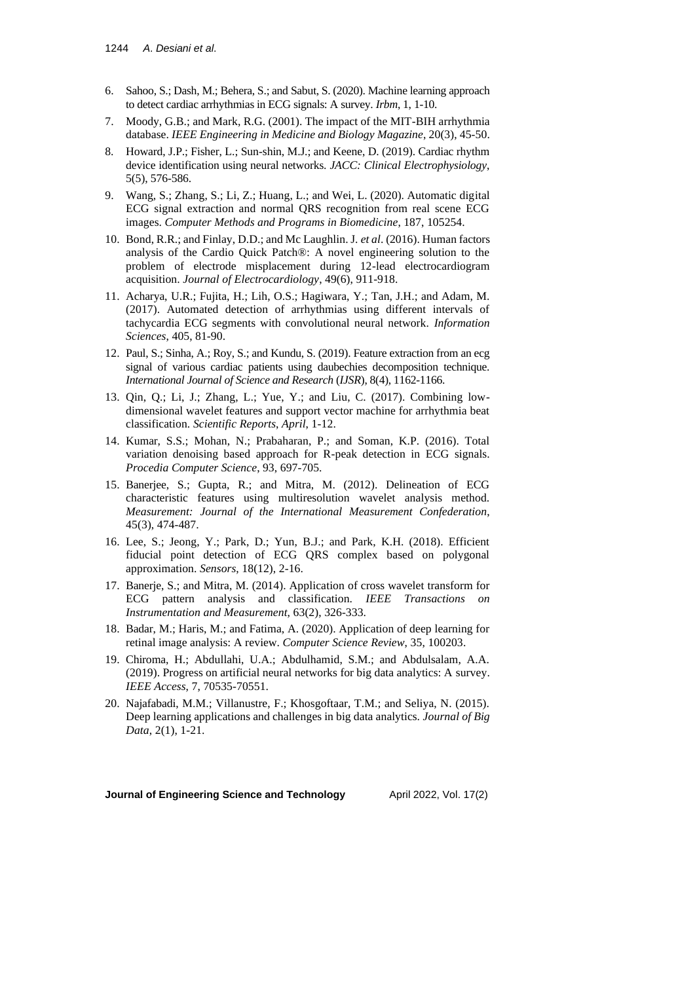- 6. Sahoo, S.; Dash, M.; Behera, S.; and Sabut, S. (2020). Machine learning approach to detect cardiac arrhythmias in ECG signals: A survey. *Irbm*, 1, 1-10.
- 7. Moody, G.B.; and Mark, R.G. (2001). The impact of the MIT-BIH arrhythmia database. *IEEE Engineering in Medicine and Biology Magazine*, 20(3), 45-50.
- 8. Howard, J.P.; Fisher, L.; Sun-shin, M.J.; and Keene, D. (2019). Cardiac rhythm device identification using neural networks. *JACC: Clinical Electrophysiology*, 5(5), 576-586.
- 9. Wang, S.; Zhang, S.; Li, Z.; Huang, L.; and Wei, L. (2020). Automatic digital ECG signal extraction and normal QRS recognition from real scene ECG images. *Computer Methods and Programs in Biomedicine*, 187, 105254.
- 10. Bond, R.R.; and Finlay, D.D.; and Mc Laughlin. J. *et al*. (2016). Human factors analysis of the Cardio Quick Patch®: A novel engineering solution to the problem of electrode misplacement during 12-lead electrocardiogram acquisition. *Journal of Electrocardiology*, 49(6), 911-918.
- 11. Acharya, U.R.; Fujita, H.; Lih, O.S.; Hagiwara, Y.; Tan, J.H.; and Adam, M. (2017). Automated detection of arrhythmias using different intervals of tachycardia ECG segments with convolutional neural network. *Information Sciences*, 405, 81-90.
- 12. Paul, S.; Sinha, A.; Roy, S.; and Kundu, S. (2019). Feature extraction from an ecg signal of various cardiac patients using daubechies decomposition technique. *International Journal of Science and Research* (*IJSR*), 8(4), 1162-1166.
- 13. Qin, Q.; Li, J.; Zhang, L.; Yue, Y.; and Liu, C. (2017). Combining lowdimensional wavelet features and support vector machine for arrhythmia beat classification. *Scientific Reports*, *April*, 1-12.
- 14. Kumar, S.S.; Mohan, N.; Prabaharan, P.; and Soman, K.P. (2016). Total variation denoising based approach for R-peak detection in ECG signals. *Procedia Computer Science*, 93, 697-705.
- 15. Banerjee, S.; Gupta, R.; and Mitra, M. (2012). Delineation of ECG characteristic features using multiresolution wavelet analysis method. *Measurement: Journal of the International Measurement Confederation*, 45(3), 474-487.
- 16. Lee, S.; Jeong, Y.; Park, D.; Yun, B.J.; and Park, K.H. (2018). Efficient fiducial point detection of ECG QRS complex based on polygonal approximation. *Sensors*, 18(12), 2-16.
- 17. Banerje, S.; and Mitra, M. (2014). Application of cross wavelet transform for ECG pattern analysis and classification. *IEEE Transactions on Instrumentation and Measurement*, 63(2), 326-333.
- 18. Badar, M.; Haris, M.; and Fatima, A. (2020). Application of deep learning for retinal image analysis: A review. *Computer Science Review*, 35, 100203.
- 19. Chiroma, H.; Abdullahi, U.A.; Abdulhamid, S.M.; and Abdulsalam, A.A. (2019). Progress on artificial neural networks for big data analytics: A survey. *IEEE Access*, 7, 70535-70551.
- 20. Najafabadi, M.M.; Villanustre, F.; Khosgoftaar, T.M.; and Seliya, N. (2015). Deep learning applications and challenges in big data analytics. *Journal of Big Data*, 2(1), 1-21.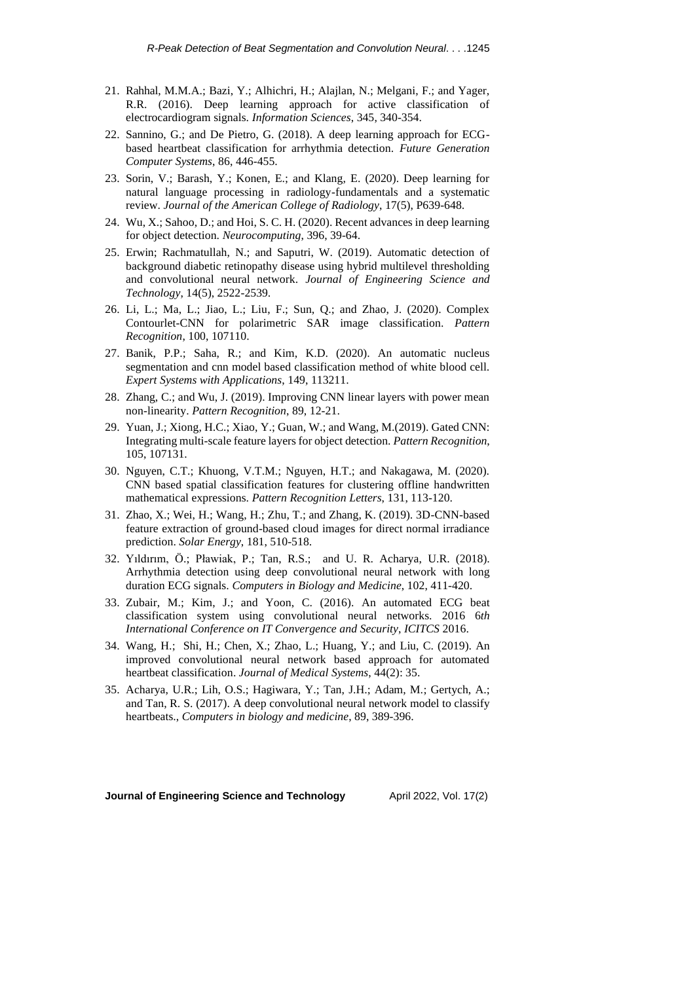- 21. Rahhal, M.M.A.; Bazi, Y.; Alhichri, H.; Alajlan, N.; Melgani, F.; and Yager, R.R. (2016). Deep learning approach for active classification of electrocardiogram signals. *Information Sciences*, 345, 340-354.
- 22. Sannino, G.; and De Pietro, G. (2018). A deep learning approach for ECGbased heartbeat classification for arrhythmia detection. *Future Generation Computer Systems*, 86, 446-455.
- 23. Sorin, V.; Barash, Y.; Konen, E.; and Klang, E. (2020). Deep learning for natural language processing in radiology-fundamentals and a systematic review. *Journal of the American College of Radiology*, 17(5), P639-648.
- 24. Wu, X.; Sahoo, D.; and Hoi, S. C. H. (2020). Recent advances in deep learning for object detection. *Neurocomputing*, 396, 39-64.
- 25. Erwin; Rachmatullah, N.; and Saputri, W. (2019). Automatic detection of background diabetic retinopathy disease using hybrid multilevel thresholding and convolutional neural network. *Journal of Engineering Science and Technology*, 14(5), 2522-2539.
- 26. Li, L.; Ma, L.; Jiao, L.; Liu, F.; Sun, Q.; and Zhao, J. (2020). Complex Contourlet-CNN for polarimetric SAR image classification. *Pattern Recognition*, 100, 107110.
- 27. Banik, P.P.; Saha, R.; and Kim, K.D. (2020). An automatic nucleus segmentation and cnn model based classification method of white blood cell. *Expert Systems with Applications*, 149, 113211.
- 28. Zhang, C.; and Wu, J. (2019). Improving CNN linear layers with power mean non-linearity. *Pattern Recognition*, 89, 12-21.
- 29. Yuan, J.; Xiong, H.C.; Xiao, Y.; Guan, W.; and Wang, M.(2019). Gated CNN: Integrating multi-scale feature layers for object detection. *Pattern Recognition*, 105, 107131.
- 30. Nguyen, C.T.; Khuong, V.T.M.; Nguyen, H.T.; and Nakagawa, M. (2020). CNN based spatial classification features for clustering offline handwritten mathematical expressions. *Pattern Recognition Letters*, 131, 113-120.
- 31. Zhao, X.; Wei, H.; Wang, H.; Zhu, T.; and Zhang, K. (2019). 3D-CNN-based feature extraction of ground-based cloud images for direct normal irradiance prediction. *Solar Energy*, 181, 510-518.
- 32. Yıldırım, Ö.; Pławiak, P.; Tan, R.S.; and U. R. Acharya, U.R. (2018). Arrhythmia detection using deep convolutional neural network with long duration ECG signals. *Computers in Biology and Medicine*, 102, 411-420.
- 33. Zubair, M.; Kim, J.; and Yoon, C. (2016). An automated ECG beat classification system using convolutional neural networks. 2016 6*th International Conference on IT Convergence and Security*, *ICITCS* 2016.
- 34. Wang, H.; Shi, H.; Chen, X.; Zhao, L.; Huang, Y.; and Liu, C. (2019). An improved convolutional neural network based approach for automated heartbeat classification. *Journal of Medical Systems*, 44(2): 35.
- 35. Acharya, U.R.; Lih, O.S.; Hagiwara, Y.; Tan, J.H.; Adam, M.; Gertych, A.; and Tan, R. S. (2017). A deep convolutional neural network model to classify heartbeats., *Computers in biology and medicine*, 89, 389-396.